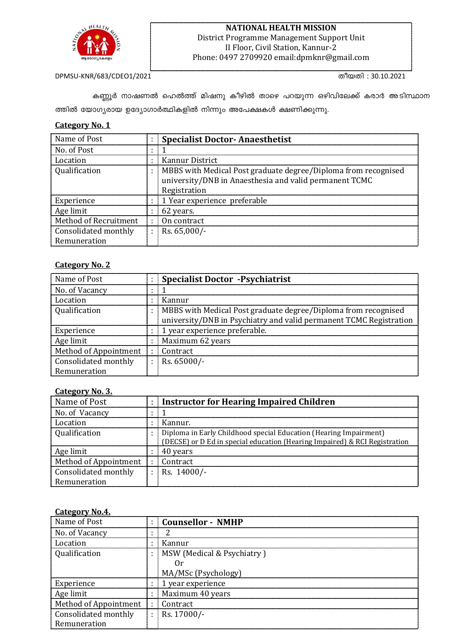

### **NATIONAL HEALTH MISSION** District Programme Management Support Unit II Floor, Civil Station, Kannur-2 Phone: 0497 2709920 email:dpmknr@gmail.com

DPMSU-KNR/683/CDEO1/2021 തീയതി : 30.10.2021

കണ്ണൂർ നാഷണൽ ഹെൽത്ത് മിഷനു കീഴിൽ താഴെ പറയുന്ന ഒഴിവിലേക്ക് കരാർ അടിസ്ഥാന ത്തിൽ യോഗൃരായ ഉദ്യോഗാർത്ഥികളിൽ നിന്നും അപേക്ഷകൾ ക്ഷണിക്കുന്നു.

### **Category No. 1**

| Name of Post                |           | <b>Specialist Doctor-Anaesthetist</b>                                                                                                    |
|-----------------------------|-----------|------------------------------------------------------------------------------------------------------------------------------------------|
| No. of Post                 |           |                                                                                                                                          |
| Location                    | ٠         | Kannur District                                                                                                                          |
| <i><b>Oualification</b></i> | $\bullet$ | MBBS with Medical Post graduate degree/Diploma from recognised<br>university/DNB in Anaesthesia and valid permanent TCMC<br>Registration |
| Experience                  |           | 1 Year experience preferable                                                                                                             |
| Age limit                   | ÷         | 62 years.                                                                                                                                |
| Method of Recruitment       |           | On contract                                                                                                                              |
| Consolidated monthly        | $\sim$    | Rs. $65,000/-$                                                                                                                           |
| Remuneration                |           |                                                                                                                                          |

### **Category No. 2**

| Name of Post          |   | <b>Specialist Doctor -Psychiatrist</b>                             |
|-----------------------|---|--------------------------------------------------------------------|
| No. of Vacancy        |   |                                                                    |
| Location              |   | Kannur                                                             |
| Qualification         | ÷ | MBBS with Medical Post graduate degree/Diploma from recognised     |
|                       |   | university/DNB in Psychiatry and valid permanent TCMC Registration |
| Experience            |   | 1 year experience preferable.                                      |
| Age limit             |   | Maximum 62 years                                                   |
| Method of Appointment |   | Contract                                                           |
| Consolidated monthly  |   | Rs. 65000/-                                                        |
| Remuneration          |   |                                                                    |

### **Category No. 3.**

| Name of Post          |         | <b>Instructor for Hearing Impaired Children</b>                            |
|-----------------------|---------|----------------------------------------------------------------------------|
| No. of Vacancy        |         |                                                                            |
| Location              |         | Kannur.                                                                    |
| <b>Oualification</b>  |         | Diploma in Early Childhood special Education (Hearing Impairment)          |
|                       |         | (DECSE) or D Ed in special education (Hearing Impaired) & RCI Registration |
| Age limit             |         | 40 years                                                                   |
| Method of Appointment |         | Contract                                                                   |
| Consolidated monthly  | $\cdot$ | Rs. 14000/-                                                                |
| Remuneration          |         |                                                                            |

### **Category No.4.**

| Name of Post          | <b>Counsellor - NMHP</b>   |
|-----------------------|----------------------------|
| No. of Vacancy        |                            |
| Location              | Kannur                     |
| Qualification         | MSW (Medical & Psychiatry) |
|                       |                            |
|                       | MA/MSc (Psychology)        |
| Experience            | 1 year experience          |
| Age limit             | Maximum 40 years           |
| Method of Appointment | Contract                   |
| Consolidated monthly  | Rs. 17000/-                |
| Remuneration          |                            |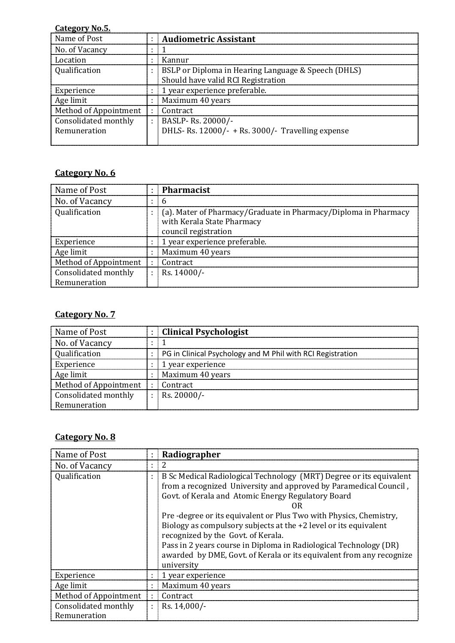### **Category No.5.**

| Name of Post          |                | <b>Audiometric Assistant</b>                        |
|-----------------------|----------------|-----------------------------------------------------|
| No. of Vacancy        |                |                                                     |
| Location              |                | Kannur                                              |
| Qualification         |                | BSLP or Diploma in Hearing Language & Speech (DHLS) |
|                       |                | Should have valid RCI Registration                  |
| Experience            |                | 1 year experience preferable.                       |
| Age limit             |                | Maximum 40 years                                    |
| Method of Appointment | $\blacksquare$ | Contract                                            |
| Consolidated monthly  | ÷              | BASLP-Rs. 20000/-                                   |
| Remuneration          |                | DHLS- Rs. 12000/- + Rs. 3000/- Travelling expense   |
|                       |                |                                                     |

## **Category No. 6**

| Name of Post          | <b>Pharmacist</b>                                                                                                     |
|-----------------------|-----------------------------------------------------------------------------------------------------------------------|
| No. of Vacancy        |                                                                                                                       |
| Qualification         | (a). Mater of Pharmacy/Graduate in Pharmacy/Diploma in Pharmacy<br>with Kerala State Pharmacy<br>council registration |
| Experience            | 1 year experience preferable.                                                                                         |
| Age limit             | Maximum 40 years                                                                                                      |
| Method of Appointment | Contract                                                                                                              |
| Consolidated monthly  | Rs. 14000/-                                                                                                           |
| Remuneration          |                                                                                                                       |

# **Category No. 7**

| Name of Post          | <b>Clinical Psychologist</b>                               |
|-----------------------|------------------------------------------------------------|
| No. of Vacancy        |                                                            |
| <b>Oualification</b>  | PG in Clinical Psychology and M Phil with RCI Registration |
| Experience            | 1 year experience                                          |
| Age limit             | Maximum 40 years                                           |
| Method of Appointment | Contract                                                   |
| Consolidated monthly  | $Rs. 20000/-$                                              |
| Remuneration          |                                                            |

## **Category No. 8**

| Name of Post          | Radiographer                                                                                                                                                                                                                                                                                                                                                                                                                                                                                                                             |
|-----------------------|------------------------------------------------------------------------------------------------------------------------------------------------------------------------------------------------------------------------------------------------------------------------------------------------------------------------------------------------------------------------------------------------------------------------------------------------------------------------------------------------------------------------------------------|
| No. of Vacancy        |                                                                                                                                                                                                                                                                                                                                                                                                                                                                                                                                          |
| Qualification         | B Sc Medical Radiological Technology (MRT) Degree or its equivalent<br>from a recognized University and approved by Paramedical Council,<br>Govt. of Kerala and Atomic Energy Regulatory Board<br>Pre-degree or its equivalent or Plus Two with Physics, Chemistry,<br>Biology as compulsory subjects at the +2 level or its equivalent<br>recognized by the Govt. of Kerala.<br>Pass in 2 years course in Diploma in Radiological Technology (DR)<br>awarded by DME, Govt. of Kerala or its equivalent from any recognize<br>university |
| Experience            | 1 year experience                                                                                                                                                                                                                                                                                                                                                                                                                                                                                                                        |
| Age limit             | Maximum 40 years                                                                                                                                                                                                                                                                                                                                                                                                                                                                                                                         |
| Method of Appointment | Contract                                                                                                                                                                                                                                                                                                                                                                                                                                                                                                                                 |
| Consolidated monthly  | Rs. 14,000/-                                                                                                                                                                                                                                                                                                                                                                                                                                                                                                                             |
| Remuneration          |                                                                                                                                                                                                                                                                                                                                                                                                                                                                                                                                          |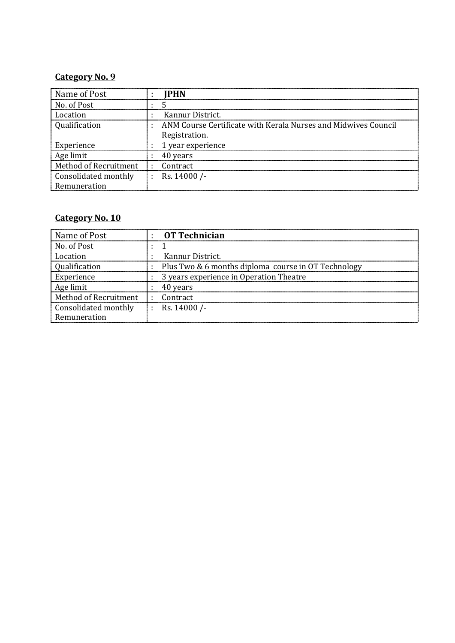### **Category No. 9**

| Name of Post          |           | IPHN                                                           |
|-----------------------|-----------|----------------------------------------------------------------|
| No. of Post           |           |                                                                |
| Location              | $\bullet$ | Kannur District.                                               |
| <b>Oualification</b>  |           | ANM Course Certificate with Kerala Nurses and Midwives Council |
|                       |           | Registration.                                                  |
| Experience            |           | 1 year experience                                              |
| Age limit             |           | 40 years                                                       |
| Method of Recruitment |           | Contract                                                       |
| Consolidated monthly  |           | Rs. 14000 /-                                                   |
| Remuneration          |           |                                                                |

# **Category No. 10**

| Name of Post          | $\cdot$ | <b>OT Technician</b>                                |
|-----------------------|---------|-----------------------------------------------------|
| No. of Post           |         |                                                     |
| Location              |         | Kannur District.                                    |
| Oualification         |         | Plus Two & 6 months diploma course in OT Technology |
| Experience            |         | 3 years experience in Operation Theatre             |
| Age limit             |         | 40 years                                            |
| Method of Recruitment | ÷       | Contract                                            |
| Consolidated monthly  |         | Rs. 14000 /-                                        |
| Remuneration          |         |                                                     |